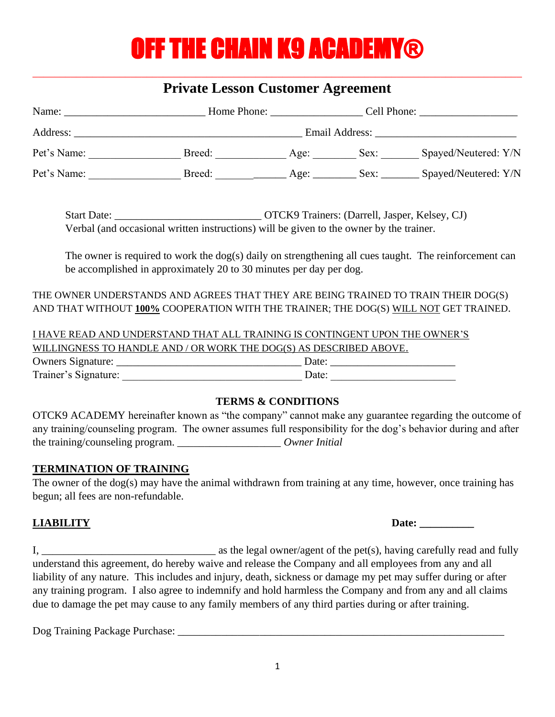# **OFF THE CHAIN K9 ACADEMY®**

# \_\_\_\_\_\_\_\_\_\_\_\_\_\_\_\_\_\_\_\_\_\_\_\_\_\_\_\_\_\_\_\_\_\_\_\_\_\_\_\_\_\_\_\_\_\_\_\_\_\_\_\_\_\_\_\_\_\_\_\_\_\_\_\_\_\_\_\_\_\_\_\_\_\_\_\_\_\_\_\_\_\_\_\_\_\_\_\_\_\_ **Private Lesson Customer Agreement**

| Name:                   | Home Phone:    | Cell Phone: |      |                      |
|-------------------------|----------------|-------------|------|----------------------|
| Address:<br>Pet's Name: | Email Address: |             |      |                      |
|                         | Breed:         | Age:        | Sex: | Spayed/Neutered: Y/N |
| Pet's Name:             | Breed:         | Age:        | Sex: | Spayed/Neutered: Y/N |

Start Date: <br>  $OTCK9$  Trainers: (Darrell, Jasper, Kelsey, CJ) Verbal (and occasional written instructions) will be given to the owner by the trainer.

The owner is required to work the dog(s) daily on strengthening all cues taught. The reinforcement can be accomplished in approximately 20 to 30 minutes per day per dog.

THE OWNER UNDERSTANDS AND AGREES THAT THEY ARE BEING TRAINED TO TRAIN THEIR DOG(S) AND THAT WITHOUT **100%** COOPERATION WITH THE TRAINER; THE DOG(S) WILL NOT GET TRAINED.

I HAVE READ AND UNDERSTAND THAT ALL TRAINING IS CONTINGENT UPON THE OWNER'S WILLINGNESS TO HANDLE AND / OR WORK THE DOG(S) AS DESCRIBED ABOVE. Owners Signature:  $\Box$ Trainer's Signature: \_\_\_\_\_\_\_\_\_\_\_\_\_\_\_\_\_\_\_\_\_\_\_\_\_\_\_\_\_\_\_\_\_ Date: \_\_\_\_\_\_\_\_\_\_\_\_\_\_\_\_\_\_\_\_\_\_\_

### **TERMS & CONDITIONS**

OTCK9 ACADEMY hereinafter known as "the company" cannot make any guarantee regarding the outcome of any training/counseling program. The owner assumes full responsibility for the dog's behavior during and after the training/counseling program. \_\_\_\_\_\_\_\_\_\_\_\_\_\_\_\_\_\_\_ *Owner Initial*

### **TERMINATION OF TRAINING**

The owner of the dog(s) may have the animal withdrawn from training at any time, however, once training has begun; all fees are non-refundable.

**LIABILITY** Date: <u>Date:</u>

I,  $\frac{1}{2}$  as the legal owner/agent of the pet(s), having carefully read and fully understand this agreement, do hereby waive and release the Company and all employees from any and all liability of any nature. This includes and injury, death, sickness or damage my pet may suffer during or after any training program. I also agree to indemnify and hold harmless the Company and from any and all claims due to damage the pet may cause to any family members of any third parties during or after training.

Dog Training Package Purchase: \_\_\_\_\_\_\_\_\_\_\_\_\_\_\_\_\_\_\_\_\_\_\_\_\_\_\_\_\_\_\_\_\_\_\_\_\_\_\_\_\_\_\_\_\_\_\_\_\_\_\_\_\_\_\_\_\_\_\_\_